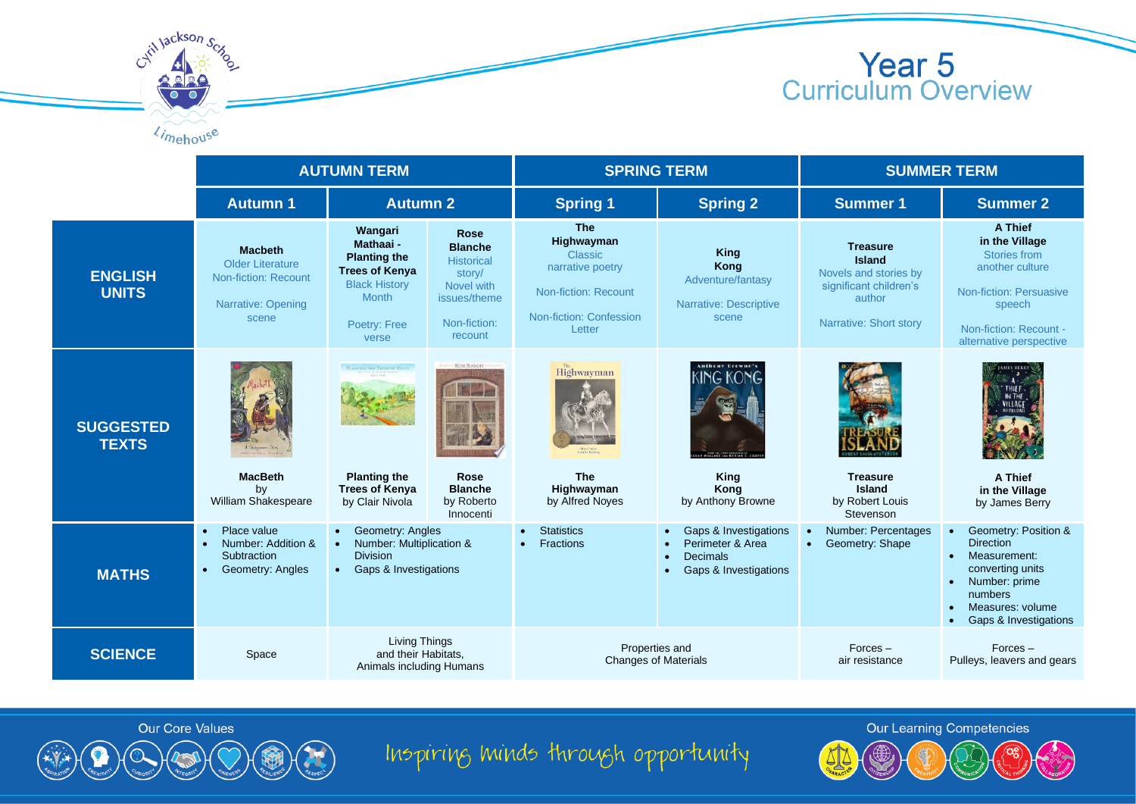



Limehouse

|                                  | <b>AUTUMN TERM</b>                                                                                          |                                                                                                                                                                                                                                                  | <b>SPRING TERM</b> |                                                                                                                             | <b>SUMMER TERM</b>                                                                                                           |                                                                                                                         |                                                                                                                                                                    |
|----------------------------------|-------------------------------------------------------------------------------------------------------------|--------------------------------------------------------------------------------------------------------------------------------------------------------------------------------------------------------------------------------------------------|--------------------|-----------------------------------------------------------------------------------------------------------------------------|------------------------------------------------------------------------------------------------------------------------------|-------------------------------------------------------------------------------------------------------------------------|--------------------------------------------------------------------------------------------------------------------------------------------------------------------|
|                                  | <b>Autumn 1</b>                                                                                             | <b>Autumn 2</b>                                                                                                                                                                                                                                  |                    | <b>Spring 1</b>                                                                                                             | <b>Spring 2</b>                                                                                                              | <b>Summer 1</b>                                                                                                         | <b>Summer 2</b>                                                                                                                                                    |
| <b>ENGLISH</b><br><b>UNITS</b>   | <b>Macbeth</b><br>Older Literature<br>Non-fiction: Recount<br>Narrative: Opening<br>scene                   | Wangari<br>Rose<br>Mathaai -<br><b>Blanche</b><br><b>Planting the</b><br>Historical<br><b>Trees of Kenya</b><br>story/<br><b>Black History</b><br>Novel with<br><b>Month</b><br>issues/theme<br>Non-fiction:<br>Poetry: Free<br>recount<br>verse |                    | <b>The</b><br>Highwayman<br>Classic<br>narrative poetry<br><b>Non-fiction: Recount</b><br>Non-fiction: Confession<br>Letter | <b>King</b><br>Kong<br>Adventure/fantasy<br><b>Narrative: Descriptive</b><br>scene                                           | <b>Treasure</b><br><b>Island</b><br>Novels and stories by<br>significant children's<br>author<br>Narrative: Short story | A Thief<br>in the Village<br>Stories from<br>another culture<br><b>Non-fiction: Persuasive</b><br>speech<br>Non-fiction: Recount -<br>alternative perspective      |
| <b>SUGGESTED</b><br><b>TEXTS</b> | <b>MacBeth</b><br>by<br>William Shakespeare                                                                 | - ROSE BLANCHE<br>PLANTING THE TREES OF KENYA<br><b>Rose</b><br><b>Planting the</b><br><b>Blanche</b><br><b>Trees of Kenya</b><br>by Roberto<br>by Clair Nivola<br>Innocenti                                                                     |                    | Highwayman<br><b>The</b><br>Highwayman<br>by Alfred Noves                                                                   | <b>Anthony Browne's</b><br><b>KING KONG</b><br>EE SHE MEALAN C.COO<br>King<br>Kong<br>by Anthony Browne                      | <b>Treasure</b><br>Island<br>by Robert Louis<br>Stevenson                                                               | THIFF<br>A Thief<br>in the Village<br>by James Berry                                                                                                               |
| <b>MATHS</b>                     | Place value<br>$\bullet$<br>Number: Addition &<br>$\bullet$<br>Subtraction<br>Geometry: Angles<br>$\bullet$ | <b>Geometry: Angles</b><br>Number: Multiplication &<br><b>Division</b><br><b>Gaps &amp; Investigations</b><br>$\bullet$                                                                                                                          |                    | <b>Statistics</b><br>Fractions<br>$\bullet$                                                                                 | Gaps & Investigations<br>$\bullet$<br>Perimeter & Area<br>$\bullet$<br><b>Decimals</b><br>Gaps & Investigations<br>$\bullet$ | <b>Number: Percentages</b><br>Geometry: Shape<br>$\bullet$                                                              | Geometry: Position &<br><b>Direction</b><br>Measurement:<br>$\bullet$<br>converting units<br>Number: prime<br>numbers<br>Measures: volume<br>Gaps & Investigations |
| <b>SCIENCE</b>                   | Space                                                                                                       | Living Things<br>and their Habitats.<br>Animals including Humans                                                                                                                                                                                 |                    | Properties and<br><b>Changes of Materials</b>                                                                               |                                                                                                                              | $Forces -$<br>air resistance                                                                                            | $Forces -$<br>Pulleys, leavers and gears                                                                                                                           |



Inspiring minds through opportunity

**Our Learning Competencies** 

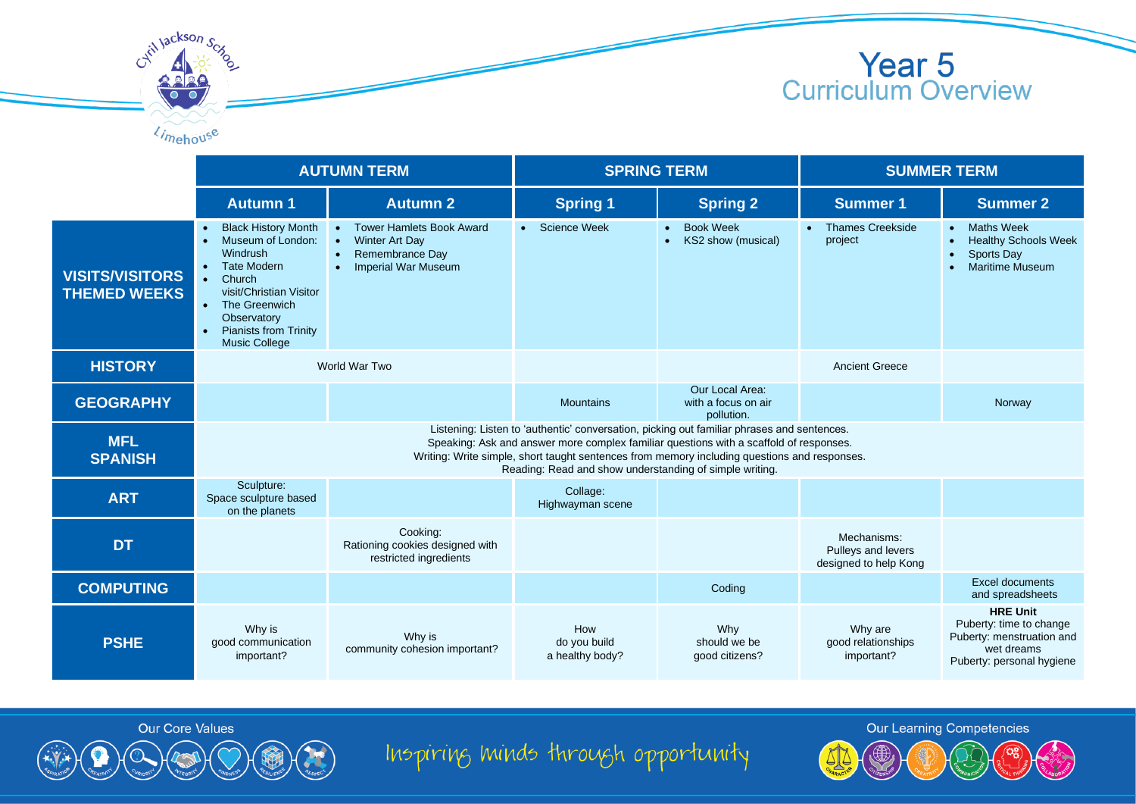



|                                               | <b>AUTUMN TERM</b>                                                                                                                                                                                                                                                                                                                              |                                                                                                                                | <b>SPRING TERM</b>                     |                                                      | <b>SUMMER TERM</b>                                         |                                                                                                                    |  |
|-----------------------------------------------|-------------------------------------------------------------------------------------------------------------------------------------------------------------------------------------------------------------------------------------------------------------------------------------------------------------------------------------------------|--------------------------------------------------------------------------------------------------------------------------------|----------------------------------------|------------------------------------------------------|------------------------------------------------------------|--------------------------------------------------------------------------------------------------------------------|--|
|                                               | <b>Autumn 1</b>                                                                                                                                                                                                                                                                                                                                 | <b>Autumn 2</b>                                                                                                                | <b>Spring 1</b>                        | <b>Spring 2</b>                                      | <b>Summer 1</b>                                            | <b>Summer 2</b>                                                                                                    |  |
| <b>VISITS/VISITORS</b><br><b>THEMED WEEKS</b> | <b>Black History Month</b><br>$\bullet$<br>Museum of London:<br>$\bullet$<br>Windrush<br><b>Tate Modern</b><br>$\bullet$<br>Church<br>$\bullet$<br>visit/Christian Visitor<br>The Greenwich<br>$\bullet$<br>Observatory<br><b>Pianists from Trinity</b><br>$\bullet$<br><b>Music College</b>                                                    | • Tower Hamlets Book Award<br><b>Winter Art Day</b><br>Remembrance Day<br>$\bullet$<br><b>Imperial War Museum</b><br>$\bullet$ | • Science Week                         | <b>Book Week</b><br>$\bullet$<br>KS2 show (musical)  | <b>Thames Creekside</b><br>project                         | <b>Maths Week</b><br>$\bullet$<br><b>Healthy Schools Week</b><br>Sports Day<br><b>Maritime Museum</b><br>$\bullet$ |  |
| <b>HISTORY</b>                                | World War Two                                                                                                                                                                                                                                                                                                                                   |                                                                                                                                |                                        |                                                      | <b>Ancient Greece</b>                                      |                                                                                                                    |  |
| <b>GEOGRAPHY</b>                              |                                                                                                                                                                                                                                                                                                                                                 |                                                                                                                                | <b>Mountains</b>                       | Our Local Area:<br>with a focus on air<br>pollution. |                                                            | Norway                                                                                                             |  |
| <b>MFL</b><br><b>SPANISH</b>                  | Listening: Listen to 'authentic' conversation, picking out familiar phrases and sentences.<br>Speaking: Ask and answer more complex familiar questions with a scaffold of responses.<br>Writing: Write simple, short taught sentences from memory including questions and responses.<br>Reading: Read and show understanding of simple writing. |                                                                                                                                |                                        |                                                      |                                                            |                                                                                                                    |  |
| <b>ART</b>                                    | Sculpture:<br>Space sculpture based<br>on the planets                                                                                                                                                                                                                                                                                           |                                                                                                                                | Collage:<br>Highwayman scene           |                                                      |                                                            |                                                                                                                    |  |
| <b>DT</b>                                     |                                                                                                                                                                                                                                                                                                                                                 | Cooking:<br>Rationing cookies designed with<br>restricted ingredients                                                          |                                        |                                                      | Mechanisms:<br>Pulleys and levers<br>designed to help Kong |                                                                                                                    |  |
| <b>COMPUTING</b>                              |                                                                                                                                                                                                                                                                                                                                                 |                                                                                                                                |                                        | Coding                                               |                                                            | <b>Excel documents</b><br>and spreadsheets                                                                         |  |
| <b>PSHE</b>                                   | Why is<br>good communication<br>important?                                                                                                                                                                                                                                                                                                      | Why is<br>community cohesion important?                                                                                        | How<br>do vou build<br>a healthy body? | Why<br>should we be<br>good citizens?                | Why are<br>good relationships<br>important?                | <b>HRE Unit</b><br>Puberty: time to change<br>Puberty: menstruation and<br>wet dreams<br>Puberty: personal hygiene |  |





Inspiring minds through opportunity

**Our Learning Competencies**